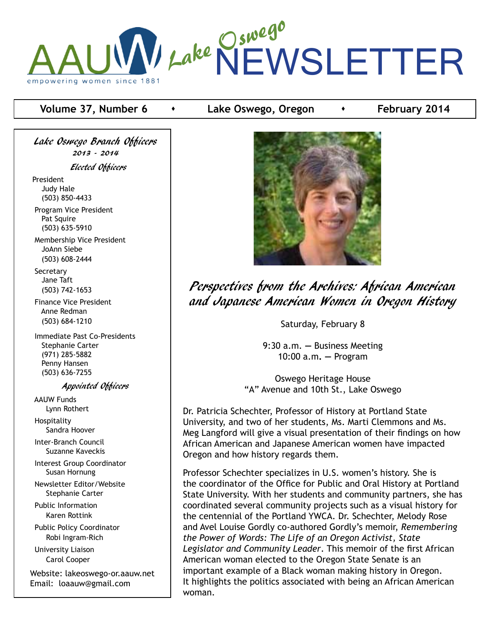

### **Volume 37, Number 6 •** Lake Oswego, Oregon **•** February 2014

Lake Oswego Branch Officers 2013 - 2014 Elected Officers President Judy Hale (503) 850-4433 Program Vice President Pat Squire (503) 635-5910

 Membership Vice President JoAnn Siebe (503) 608-2444

**Secretary**  Jane Taft (503) 742-1653

 Finance Vice President Anne Redman (503) 684-1210

 Immediate Past Co-Presidents Stephanie Carter (971) 285-5882 Penny Hansen (503) 636-7255

#### Appointed Officers

 AAUW Funds Lynn Rothert Hospitality

Sandra Hoover

 Inter-Branch Council Suzanne Kaveckis

 Interest Group Coordinator Susan Hornung

 Newsletter Editor/Website Stephanie Carter

 Public Information Karen Rottink

 Public Policy Coordinator Robi Ingram-Rich

 University Liaison Carol Cooper

Website: lakeoswego-or.aauw.net Email: loaauw@gmail.com



Perspectives from the Archives: African American and Japanese American Women in Oregon History

Saturday, February 8

9:30 a.m. **—** Business Meeting 10:00 a.m**. —** Program

Oswego Heritage House "A" Avenue and 10th St., Lake Oswego

Dr. Patricia Schechter, Professor of History at Portland State University, and two of her students, Ms. Marti Clemmons and Ms. Meg Langford will give a visual presentation of their findings on how African American and Japanese American women have impacted Oregon and how history regards them.

Professor Schechter specializes in U.S. women's history. She is the coordinator of the Office for Public and Oral History at Portland State University. With her students and community partners, she has coordinated several community projects such as a visual history for the centennial of the Portland YWCA. Dr. Schechter, Melody Rose and Avel Louise Gordly co-authored Gordly's memoir, *Remembering the Power of Words: The Life of an Oregon Activist, State Legislator and Community Leader*. This memoir of the first African American woman elected to the Oregon State Senate is an important example of a Black woman making history in Oregon. It highlights the politics associated with being an African American woman.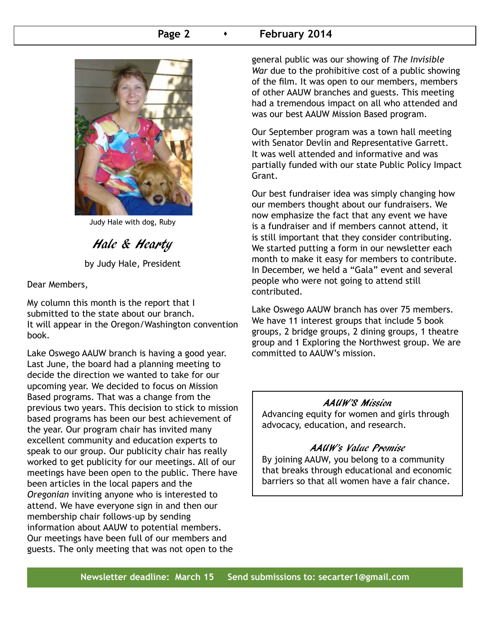### **Page 2 Conservery 2014**



Judy Hale with dog, Ruby

# Hale & Hearty

by Judy Hale, President

Dear Members,

My column this month is the report that I submitted to the state about our branch. It will appear in the Oregon/Washington convention book.

Lake Oswego AAUW branch is having a good year. Last June, the board had a planning meeting to decide the direction we wanted to take for our upcoming year. We decided to focus on Mission Based programs. That was a change from the previous two years. This decision to stick to mission based programs has been our best achievement of the year. Our program chair has invited many excellent community and education experts to speak to our group. Our publicity chair has really worked to get publicity for our meetings. All of our meetings have been open to the public. There have been articles in the local papers and the *Oregonian* inviting anyone who is interested to attend. We have everyone sign in and then our membership chair follows-up by sending information about AAUW to potential members. Our meetings have been full of our members and guests. The only meeting that was not open to the

general public was our showing of *The Invisible War* due to the prohibitive cost of a public showing of the film. It was open to our members, members of other AAUW branches and guests. This meeting had a tremendous impact on all who attended and was our best AAUW Mission Based program.

Our September program was a town hall meeting with Senator Devlin and Representative Garrett. It was well attended and informative and was partially funded with our state Public Policy Impact Grant.

Our best fundraiser idea was simply changing how our members thought about our fundraisers. We now emphasize the fact that any event we have is a fundraiser and if members cannot attend, it is still important that they consider contributing. We started putting a form in our newsletter each month to make it easy for members to contribute. In December, we held a "Gala" event and several people who were not going to attend still contributed.

Lake Oswego AAUW branch has over 75 members. We have 11 interest groups that include 5 book groups, 2 bridge groups, 2 dining groups, 1 theatre group and 1 Exploring the Northwest group. We are committed to AAUW's mission.

#### AAUW'S Mission

Advancing equity for women and girls through advocacy, education, and research.

### AAUW's Value Promise

By joining AAUW, you belong to a community that breaks through educational and economic barriers so that all women have a fair chance.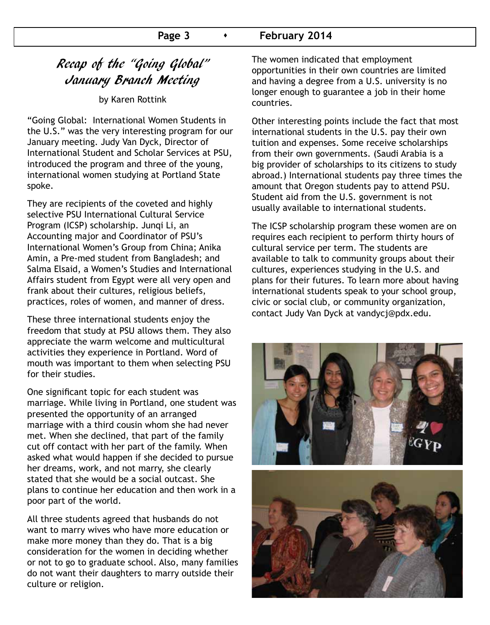### Page 3 **Capacity February 2014**

# Recap of the "Going Global" January Branch Meeting

by Karen Rottink

"Going Global: International Women Students in the U.S." was the very interesting program for our January meeting. Judy Van Dyck, Director of International Student and Scholar Services at PSU, introduced the program and three of the young, international women studying at Portland State spoke.

They are recipients of the coveted and highly selective PSU International Cultural Service Program (ICSP) scholarship. Junqi Li, an Accounting major and Coordinator of PSU's International Women's Group from China; Anika Amin, a Pre-med student from Bangladesh; and Salma Elsaid, a Women's Studies and International Affairs student from Egypt were all very open and frank about their cultures, religious beliefs, practices, roles of women, and manner of dress.

These three international students enjoy the freedom that study at PSU allows them. They also appreciate the warm welcome and multicultural activities they experience in Portland. Word of mouth was important to them when selecting PSU for their studies.

One significant topic for each student was marriage. While living in Portland, one student was presented the opportunity of an arranged marriage with a third cousin whom she had never met. When she declined, that part of the family cut off contact with her part of the family. When asked what would happen if she decided to pursue her dreams, work, and not marry, she clearly stated that she would be a social outcast. She plans to continue her education and then work in a poor part of the world.

All three students agreed that husbands do not want to marry wives who have more education or make more money than they do. That is a big consideration for the women in deciding whether or not to go to graduate school. Also, many families do not want their daughters to marry outside their culture or religion.

The women indicated that employment opportunities in their own countries are limited and having a degree from a U.S. university is no longer enough to guarantee a job in their home countries.

Other interesting points include the fact that most international students in the U.S. pay their own tuition and expenses. Some receive scholarships from their own governments. (Saudi Arabia is a big provider of scholarships to its citizens to study abroad.) International students pay three times the amount that Oregon students pay to attend PSU. Student aid from the U.S. government is not usually available to international students.

The ICSP scholarship program these women are on requires each recipient to perform thirty hours of cultural service per term. The students are available to talk to community groups about their cultures, experiences studying in the U.S. and plans for their futures. To learn more about having international students speak to your school group, civic or social club, or community organization, contact Judy Van Dyck at vandycj@pdx.edu.

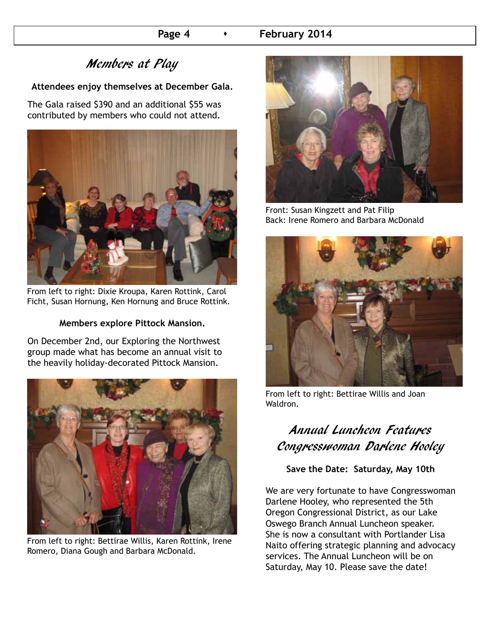# Members at Play

### **Attendees enjoy themselves at December Gala.**

The Gala raised \$390 and an additional \$55 was contributed by members who could not attend.



From left to right: Dixie Kroupa, Karen Rottink, Carol Ficht, Susan Hornung, Ken Hornung and Bruce Rottink.

### **Members explore Pittock Mansion.**

On December 2nd, our Exploring the Northwest group made what has become an annual visit to the heavily holiday-decorated Pittock Mansion.



From left to right: Bettirae Willis, Karen Rottink, Irene Romero, Diana Gough and Barbara McDonald.



Front: Susan Kingzett and Pat Filip Back: Irene Romero and Barbara McDonald



From left to right: Bettirae Willis and Joan Waldron.

# Annual Luncheon Features Congresswoman Darlene Hooley

### **Save the Date: Saturday, May 10th**

We are very fortunate to have Congresswoman Darlene Hooley, who represented the 5th Oregon Congressional District, as our Lake Oswego Branch Annual Luncheon speaker. She is now a consultant with Portlander Lisa Naito offering strategic planning and advocacy services. The Annual Luncheon will be on Saturday, May 10. Please save the date!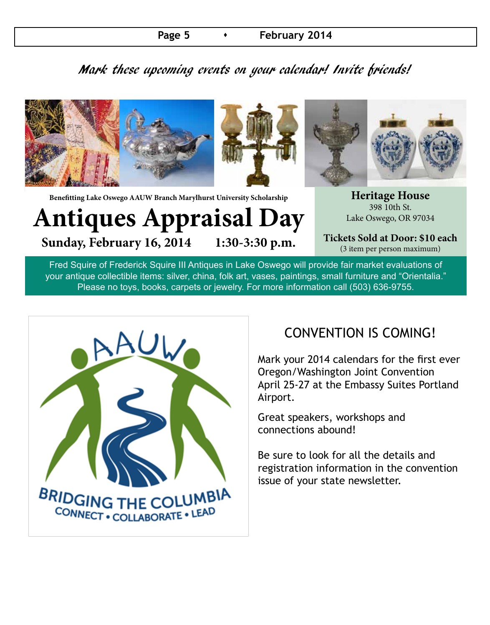### **Page 5 Case 10 12 Tebruary 2014**

# Mark these upcoming events on your calendar! Invite friends!



**Benefitting Lake Oswego AAUW Branch Marylhurst University Scholarship**

**Antiques Appraisal Day** Sunday, February 16, 2014 1:30-3:30 p.m.

**Heritage House** 398 10th St. Lake Oswego, OR 97034

**Tickets Sold at Door: \$10 each** (3 item per person maximum)

Fred Squire of Frederick Squire III Antiques in Lake Oswego will provide fair market evaluations of your antique collectible items: silver, china, folk art, vases, paintings, small furniture and "Orientalia." Please no toys, books, carpets or jewelry. For more information call (503) 636-9755.



# CONVENTION IS COMING!

Mark your 2014 calendars for the first ever Oregon/Washington Joint Convention April 25-27 at the Embassy Suites Portland Airport.

Great speakers, workshops and connections abound!

Be sure to look for all the details and registration information in the convention issue of your state newsletter.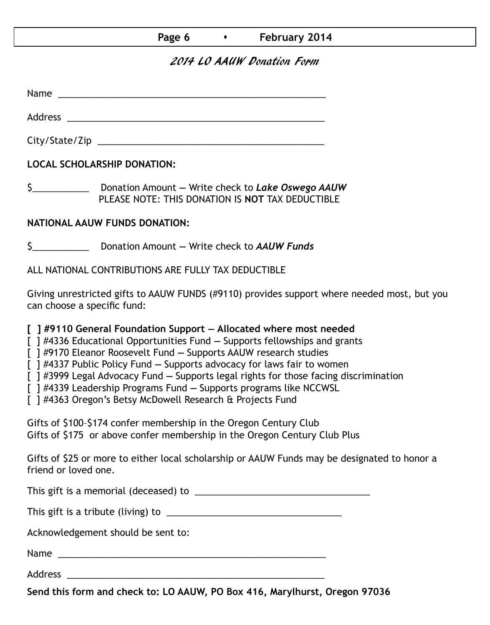| Page 6 |  | February 2014 |
|--------|--|---------------|
|--------|--|---------------|

### 2014 LO AAUW Donation Form

Name was also as  $\sim$  100  $\mu$  and  $\mu$  and  $\mu$  and  $\mu$  and  $\mu$  and  $\mu$  and  $\mu$ 

Address \_\_\_\_\_\_\_\_\_\_\_\_\_\_\_\_\_\_\_\_\_\_\_\_\_\_\_\_\_\_\_\_\_\_\_\_\_\_\_\_\_\_\_\_\_\_\_\_\_\_

City/State/Zip \_\_\_\_\_\_\_\_\_\_\_\_\_\_\_\_\_\_\_\_\_\_\_\_\_\_\_\_\_\_\_\_\_\_\_\_\_\_\_\_\_\_\_\_

**LOCAL SCHOLARSHIP DONATION:**

\$\_\_\_\_\_\_\_\_\_\_\_ Donation Amount **—** Write check to *Lake Oswego AAUW* PLEASE NOTE: THIS DONATION IS **NOT** TAX DEDUCTIBLE

### **NATIONAL AAUW FUNDS DONATION:**

\$\_\_\_\_\_\_\_\_\_\_\_ Donation Amount **—** Write check to *AAUW Funds*

ALL NATIONAL CONTRIBUTIONS ARE FULLY TAX DEDUCTIBLE

Giving unrestricted gifts to AAUW FUNDS (#9110) provides support where needed most, but you can choose a specific fund:

**[ ] #9110 General Foundation Support — Allocated where most needed** 

[ ] #4336 Educational Opportunities Fund **—** Supports fellowships and grants

[ ] #9170 Eleanor Roosevelt Fund **—** Supports AAUW research studies

[ ] #4337 Public Policy Fund **—** Supports advocacy for laws fair to women

[ ] #3999 Legal Advocacy Fund **—** Supports legal rights for those facing discrimination

[ ] #4339 Leadership Programs Fund **—** Supports programs like NCCWSL

[ ] #4363 Oregon's Betsy McDowell Research & Projects Fund

Gifts of \$100–\$174 confer membership in the Oregon Century Club Gifts of \$175 or above confer membership in the Oregon Century Club Plus

Gifts of \$25 or more to either local scholarship or AAUW Funds may be designated to honor a friend or loved one.

This gift is a memorial (deceased) to \_\_\_\_\_\_\_\_\_\_\_\_\_\_\_\_\_\_\_\_\_\_\_\_\_\_\_\_\_\_\_\_\_\_

This gift is a tribute (living) to \_\_\_\_\_\_\_\_\_\_\_\_\_\_\_\_\_\_\_\_\_\_\_\_\_\_\_\_\_\_\_\_\_\_

Acknowledgement should be sent to:

Name \_\_\_\_\_\_\_\_\_\_\_\_\_\_\_\_\_\_\_\_\_\_\_\_\_\_\_\_\_\_\_\_\_\_\_\_\_\_\_\_\_\_\_\_\_\_\_\_\_\_\_\_

Address \_\_\_\_\_\_\_\_\_\_\_\_\_\_\_\_\_\_\_\_\_\_\_\_\_\_\_\_\_\_\_\_\_\_\_\_\_\_\_\_\_\_\_\_\_\_\_\_\_\_

**Send this form and check to: LO AAUW, PO Box 416, Marylhurst, Oregon 97036**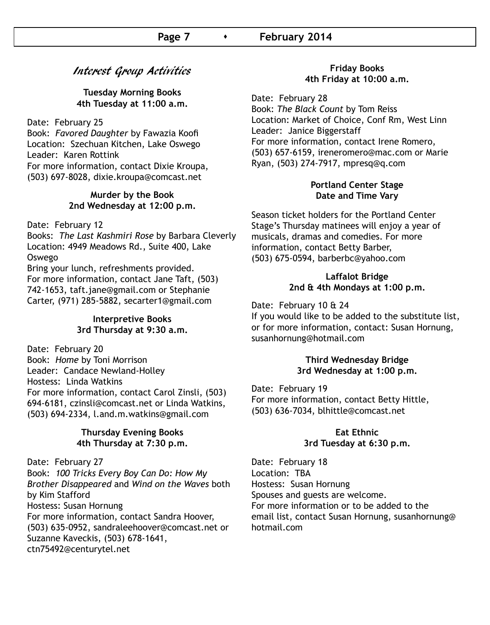### Interest Group Activities

### **Tuesday Morning Books 4th Tuesday at 11:00 a.m.**

Date: February 25

Book: *Favored Daughter* by Fawazia Koofi Location: Szechuan Kitchen, Lake Oswego Leader: Karen Rottink For more information, contact Dixie Kroupa, (503) 697-8028, dixie.kroupa@comcast.net

#### **Murder by the Book 2nd Wednesday at 12:00 p.m.**

Date: February 12

Books: *The Last Kashmiri Rose* by Barbara Cleverly Location: 4949 Meadows Rd., Suite 400, Lake Oswego

Bring your lunch, refreshments provided. For more information, contact Jane Taft, (503) 742-1653, taft.jane@gmail.com or Stephanie Carter, (971) 285-5882, secarter1@gmail.com

### **Interpretive Books 3rd Thursday at 9:30 a.m.**

Date: February 20 Book: *Home* by Toni Morrison Leader: Candace Newland-Holley Hostess: Linda Watkins For more information, contact Carol Zinsli, (503) 694-6181, czinsli@comcast.net or Linda Watkins, (503) 694-2334, l.and.m.watkins@gmail.com

#### **Thursday Evening Books 4th Thursday at 7:30 p.m.**

Date: February 27 Book: *100 Tricks Every Boy Can Do: How My Brother Disappeared* and *Wind on the Waves* both by Kim Stafford Hostess: Susan Hornung For more information, contact Sandra Hoover, (503) 635-0952, sandraleehoover@comcast.net or Suzanne Kaveckis, (503) 678-1641, ctn75492@centurytel.net

#### **Friday Books 4th Friday at 10:00 a.m.**

Date: February 28 Book: *The Black Count* by Tom Reiss Location: Market of Choice, Conf Rm, West Linn Leader: Janice Biggerstaff For more information, contact Irene Romero, (503) 657-6159, ireneromero@mac.com or Marie Ryan, (503) 274-7917, mpresq@q.com

### **Portland Center Stage Date and Time Vary**

Season ticket holders for the Portland Center Stage's Thursday matinees will enjoy a year of musicals, dramas and comedies. For more information, contact Betty Barber, (503) 675-0594, barberbc@yahoo.com

### **Laffalot Bridge 2nd & 4th Mondays at 1:00 p.m.**

Date: February 10 & 24

If you would like to be added to the substitute list, or for more information, contact: Susan Hornung, susanhornung@hotmail.com

### **Third Wednesday Bridge 3rd Wednesday at 1:00 p.m.**

Date: February 19 For more information, contact Betty Hittle, (503) 636-7034, blhittle@comcast.net

#### **Eat Ethnic 3rd Tuesday at 6:30 p.m.**

Date: February 18 Location: TBA Hostess: Susan Hornung Spouses and guests are welcome. For more information or to be added to the email list, contact Susan Hornung, susanhornung@ hotmail.com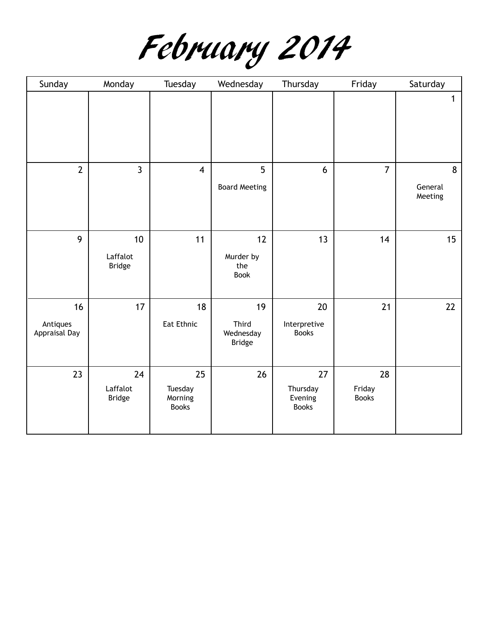

| Sunday                          | Monday                          | Tuesday                                  | Wednesday                                 | Thursday                                  | Friday                       | Saturday                               |
|---------------------------------|---------------------------------|------------------------------------------|-------------------------------------------|-------------------------------------------|------------------------------|----------------------------------------|
|                                 |                                 |                                          |                                           |                                           |                              | $\mathbf{1}$                           |
| $\overline{2}$                  | $\overline{3}$                  | $\overline{\mathbf{4}}$                  | 5<br><b>Board Meeting</b>                 | 6                                         | $\overline{7}$               | $\boldsymbol{8}$<br>General<br>Meeting |
| 9                               | 10<br>Laffalot<br><b>Bridge</b> | 11                                       | 12<br>Murder by<br>the<br><b>Book</b>     | 13                                        | 14                           | 15                                     |
| 16<br>Antiques<br>Appraisal Day | 17                              | 18<br>Eat Ethnic                         | 19<br>Third<br>Wednesday<br><b>Bridge</b> | 20<br>Interpretive<br><b>Books</b>        | 21                           | 22                                     |
| 23                              | 24<br>Laffalot<br><b>Bridge</b> | 25<br>Tuesday<br>Morning<br><b>Books</b> | 26                                        | 27<br>Thursday<br>Evening<br><b>Books</b> | 28<br>Friday<br><b>Books</b> |                                        |